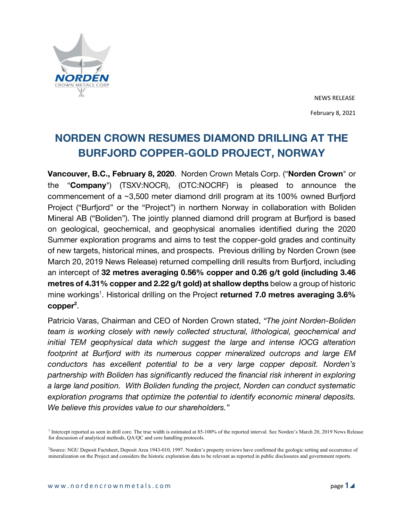

NEWS RELEASE February 8, 2021

# **NORDEN CROWN RESUMES DIAMOND DRILLING AT THE BURFJORD COPPER-GOLD PROJECT, NORWAY**

**Vancouver, B.C., February 8, 2020**. Norden Crown Metals Corp. ("**Norden Crown**" or the "**Company**") (TSXV:NOCR), (OTC:NOCRF) is pleased to announce the commencement of a ~3,500 meter diamond drill program at its 100% owned Burfjord Project ("Burfjord" or the "Project") in northern Norway in collaboration with Boliden Mineral AB ("Boliden"). The jointly planned diamond drill program at Burfjord is based on geological, geochemical, and geophysical anomalies identified during the 2020 Summer exploration programs and aims to test the copper-gold grades and continuity of new targets, historical mines, and prospects. Previous drilling by Norden Crown (see March 20, 2019 News Release) returned compelling drill results from Burfjord, including an intercept of **32 metres averaging 0.56% copper and 0.26 g/t gold (including 3.46 metres of 4.31% copper and 2.22 g/t gold) at shallow depths** below a group of historic mine workings<sup>1</sup>. Historical drilling on the Project returned 7.0 metres averaging 3.6% copper<sup>2</sup>.

Patricio Varas, Chairman and CEO of Norden Crown stated, *"The joint Norden-Boliden team is working closely with newly collected structural, lithological, geochemical and initial TEM geophysical data which suggest the large and intense IOCG alteration footprint at Burfjord with its numerous copper mineralized outcrops and large EM conductors has excellent potential to be a very large copper deposit. Norden's partnership with Boliden has significantly reduced the financial risk inherent in exploring a large land position. With Boliden funding the project, Norden can conduct systematic exploration programs that optimize the potential to identify economic mineral deposits. We believe this provides value to our shareholders."*

<sup>&</sup>lt;sup>1</sup> Intercept reported as seen in drill core. The true width is estimated at 85-100% of the reported interval. See Norden's March 20, 2019 News Release for discussion of analytical methods, QA/QC and core handling protocols.

<sup>2</sup> Source: NGU Deposit Factsheet, Deposit Area 1943-010, 1997. Norden's property reviews have confirmed the geologic setting and occurrence of mineralization on the Project and considers the historic exploration data to be relevant as reported in public disclosures and government reports.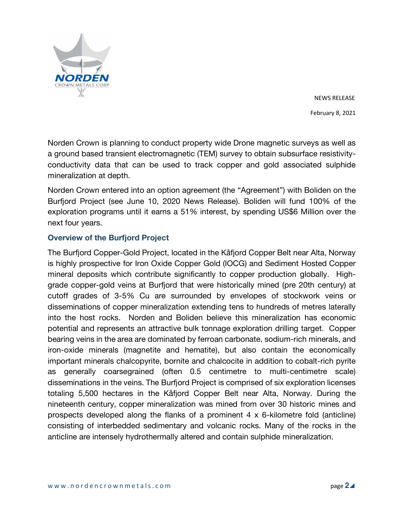

NEWS RELEASE February 8, 2021

Norden Crown is planning to conduct property wide Drone magnetic surveys as well as a ground based transient electromagnetic (TEM) survey to obtain subsurface resistivityconductivity data that can be used to track copper and gold associated sulphide mineralization at depth.

Norden Crown entered into an option agreement (the "Agreement") with Boliden on the Burfjord Project (see June 10, 2020 News Release). Boliden will fund 100% of the exploration programs until it earns a 51% interest, by spending US\$6 Million over the next four years.

# **Overview of the Burfjord Project**

The Burfjord Copper-Gold Project, located in the Kåfjord Copper Belt near Alta, Norway is highly prospective for Iron Oxide Copper Gold (IOCG) and Sediment Hosted Copper mineral deposits which contribute significantly to copper production globally. Highgrade copper-gold veins at Burfjord that were historically mined (pre 20th century) at cutoff grades of 3-5% Cu are surrounded by envelopes of stockwork veins or disseminations of copper mineralization extending tens to hundreds of metres laterally into the host rocks. Norden and Boliden believe this mineralization has economic potential and represents an attractive bulk tonnage exploration drilling target. Copper bearing veins in the area are dominated by ferroan carbonate, sodium-rich minerals, and iron-oxide minerals (magnetite and hematite), but also contain the economically important minerals chalcopyrite, bornite and chalcocite in addition to cobalt-rich pyrite as generally coarsegrained (often 0.5 centimetre to multi-centimetre scale) disseminations in the veins. The Burfjord Project is comprised of six exploration licenses totaling 5,500 hectares in the Kåfjord Copper Belt near Alta, Norway. During the nineteenth century, copper mineralization was mined from over 30 historic mines and prospects developed along the flanks of a prominent 4 x 6-kilometre fold (anticline) consisting of interbedded sedimentary and volcanic rocks. Many of the rocks in the anticline are intensely hydrothermally altered and contain sulphide mineralization.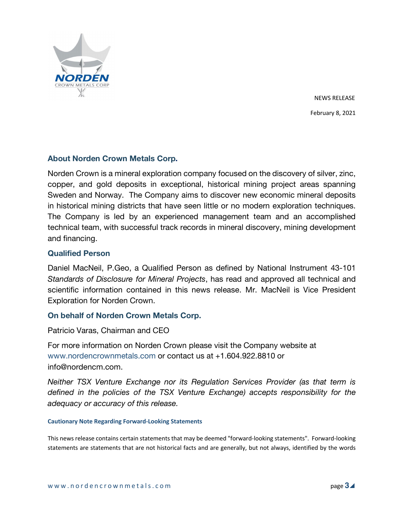

NEWS RELEASE February 8, 2021

## **About Norden Crown Metals Corp.**

Norden Crown is a mineral exploration company focused on the discovery of silver, zinc, copper, and gold deposits in exceptional, historical mining project areas spanning Sweden and Norway. The Company aims to discover new economic mineral deposits in historical mining districts that have seen little or no modern exploration techniques. The Company is led by an experienced management team and an accomplished technical team, with successful track records in mineral discovery, mining development and financing.

## **Qualified Person**

Daniel MacNeil, P.Geo, a Qualified Person as defined by National Instrument 43-101 *Standards of Disclosure for Mineral Projects*, has read and approved all technical and scientific information contained in this news release. Mr. MacNeil is Vice President Exploration for Norden Crown.

### **On behalf of Norden Crown Metals Corp.**

Patricio Varas, Chairman and CEO

For more information on Norden Crown please visit the Company website at www.nordencrownmetals.com or contact us at +1.604.922.8810 or info@nordencm.com.

*Neither TSX Venture Exchange nor its Regulation Services Provider (as that term is defined in the policies of the TSX Venture Exchange) accepts responsibility for the adequacy or accuracy of this release.* 

#### **Cautionary Note Regarding Forward-Looking Statements**

This news release contains certain statements that may be deemed "forward-looking statements". Forward-looking statements are statements that are not historical facts and are generally, but not always, identified by the words